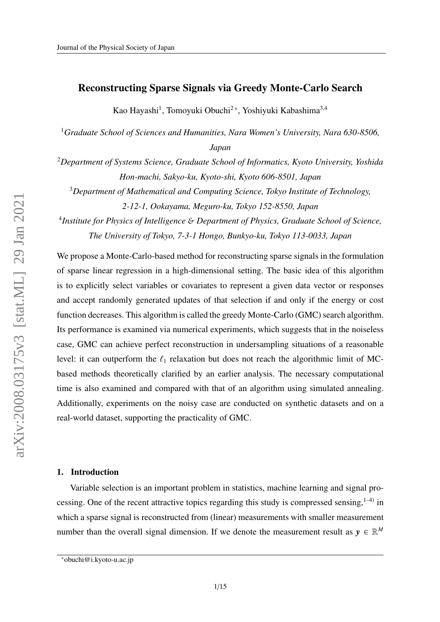# Reconstructing Sparse Signals via Greedy Monte-Carlo Search

Kao Hayashi<sup>1</sup>, Tomoyuki Obuchi<sup>2</sup>\*, Yoshiyuki Kabashima<sup>3,4</sup>

<sup>1</sup>*Graduate School of Sciences and Humanities, Nara Women's University, Nara 630-8506, Japan*

<sup>2</sup>*Department of Systems Science, Graduate School of Informatics, Kyoto University, Yoshida Hon-machi, Sakyo-ku, Kyoto-shi, Kyoto 606-8501, Japan*

<sup>3</sup>*Department of Mathematical and Computing Science, Tokyo Institute of Technology,*

*2-12-1, Ookayama, Meguro-ku, Tokyo 152-8550, Japan*

4 *Institute for Physics of Intelligence* & *Department of Physics, Graduate School of Science, The University of Tokyo, 7-3-1 Hongo, Bunkyo-ku, Tokyo 113-0033, Japan*

We propose a Monte-Carlo-based method for reconstructing sparse signals in the formulation of sparse linear regression in a high-dimensional setting. The basic idea of this algorithm is to explicitly select variables or covariates to represent a given data vector or responses and accept randomly generated updates of that selection if and only if the energy or cost function decreases. This algorithm is called the greedy Monte-Carlo (GMC) search algorithm. Its performance is examined via numerical experiments, which suggests that in the noiseless case, GMC can achieve perfect reconstruction in undersampling situations of a reasonable level: it can outperform the  $\ell_1$  relaxation but does not reach the algorithmic limit of MCbased methods theoretically clarified by an earlier analysis. The necessary computational time is also examined and compared with that of an algorithm using simulated annealing. Additionally, experiments on the noisy case are conducted on synthetic datasets and on a real-world dataset, supporting the practicality of GMC.

## 1. Introduction

Variable selection is an important problem in statistics, machine learning and signal processing. One of the recent attractive topics regarding this study is compressed sensing,  $1-4$ ) in which a sparse signal is reconstructed from (linear) measurements with smaller measurement number than the overall signal dimension. If we denote the measurement result as  $y \in \mathbb{R}^M$ 

<sup>\*</sup>obuchi@i.kyoto-u.ac.jp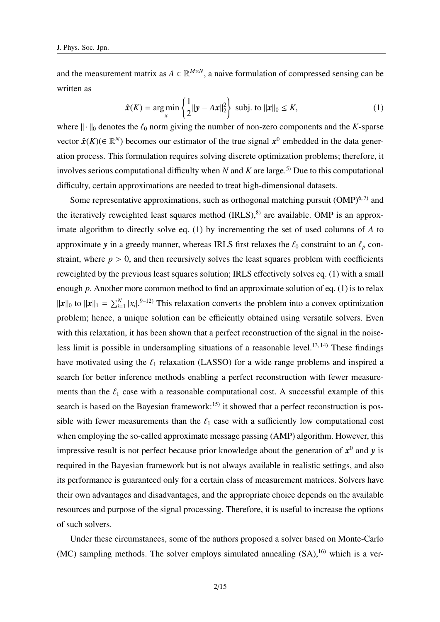and the measurement matrix as  $A \in \mathbb{R}^{M \times N}$ , a naive formulation of compressed sensing can be written as

$$
\hat{\mathbf{x}}(K) = \arg\min_{\mathbf{x}} \left\{ \frac{1}{2} ||\mathbf{y} - A\mathbf{x}||_2^2 \right\} \text{ subj. to } ||\mathbf{x}||_0 \le K,
$$
 (1)

where  $\|\cdot\|_0$  denotes the  $\ell_0$  norm giving the number of non-zero components and the *K*-sparse vector  $\hat{\mathbf{x}}(K) \in \mathbb{R}^N$ ) becomes our estimator of the true signal  $\mathbf{x}^0$  embedded in the data generation process. This formulation requires solving discrete optimization problems; therefore, it involves serious computational difficulty when  $N$  and  $K$  are large.<sup>5)</sup> Due to this computational difficulty, certain approximations are needed to treat high-dimensional datasets.

Some representative approximations, such as orthogonal matching pursuit  $(OMP)^{6,7}$  and the iteratively reweighted least squares method  $(IRLS)$ , $^{8)}$  are available. OMP is an approximate algorithm to directly solve eq. (1) by incrementing the set of used columns of *A* to approximate *y* in a greedy manner, whereas IRLS first relaxes the  $\ell_0$  constraint to an  $\ell_p$  constraint, where  $p > 0$ , and then recursively solves the least squares problem with coefficients reweighted by the previous least squares solution; IRLS effectively solves eq. (1) with a small enough *p*. Another more common method to find an approximate solution of eq. (1) is to relax  $||x||_0$  to  $||x||_1 = \sum_{i=1}^{N} |x_i|^{(9-12)}$  This relaxation converts the problem into a convex optimization problem; hence, a unique solution can be efficiently obtained using versatile solvers. Even with this relaxation, it has been shown that a perfect reconstruction of the signal in the noiseless limit is possible in undersampling situations of a reasonable level.<sup>13, 14)</sup> These findings have motivated using the  $\ell_1$  relaxation (LASSO) for a wide range problems and inspired a search for better inference methods enabling a perfect reconstruction with fewer measurements than the  $\ell_1$  case with a reasonable computational cost. A successful example of this search is based on the Bayesian framework:<sup>15)</sup> it showed that a perfect reconstruction is possible with fewer measurements than the  $\ell_1$  case with a sufficiently low computational cost when employing the so-called approximate message passing (AMP) algorithm. However, this impressive result is not perfect because prior knowledge about the generation of  $x^0$  and  $y$  is required in the Bayesian framework but is not always available in realistic settings, and also its performance is guaranteed only for a certain class of measurement matrices. Solvers have their own advantages and disadvantages, and the appropriate choice depends on the available resources and purpose of the signal processing. Therefore, it is useful to increase the options of such solvers.

Under these circumstances, some of the authors proposed a solver based on Monte-Carlo (MC) sampling methods. The solver employs simulated annealing  $(SA)$ ,<sup>16)</sup> which is a ver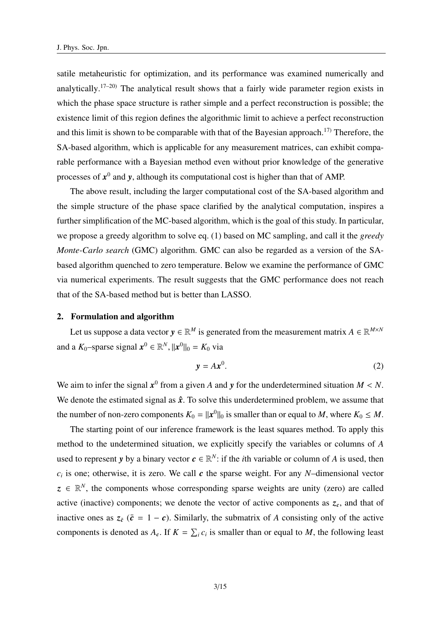satile metaheuristic for optimization, and its performance was examined numerically and analytically.<sup>17–20)</sup> The analytical result shows that a fairly wide parameter region exists in which the phase space structure is rather simple and a perfect reconstruction is possible; the existence limit of this region defines the algorithmic limit to achieve a perfect reconstruction and this limit is shown to be comparable with that of the Bayesian approach.<sup>17)</sup> Therefore, the SA-based algorithm, which is applicable for any measurement matrices, can exhibit comparable performance with a Bayesian method even without prior knowledge of the generative processes of  $x^0$  and y, although its computational cost is higher than that of AMP.

The above result, including the larger computational cost of the SA-based algorithm and the simple structure of the phase space clarified by the analytical computation, inspires a further simplification of the MC-based algorithm, which is the goal of this study. In particular, we propose a greedy algorithm to solve eq. (1) based on MC sampling, and call it the *greedy Monte-Carlo search* (GMC) algorithm. GMC can also be regarded as a version of the SAbased algorithm quenched to zero temperature. Below we examine the performance of GMC via numerical experiments. The result suggests that the GMC performance does not reach that of the SA-based method but is better than LASSO.

#### 2. Formulation and algorithm

Let us suppose a data vector  $y \in \mathbb{R}^M$  is generated from the measurement matrix  $A \in \mathbb{R}^{M \times N}$ and a  $K_0$ -sparse signal  $x^0 \in \mathbb{R}^N$ ,  $||x^0||_0 = K_0$  via

$$
y = Ax^0. \tag{2}
$$

We aim to infer the signal  $x^0$  from a given *A* and *y* for the underdetermined situation  $M < N$ . We denote the estimated signal as  $\hat{x}$ . To solve this underdetermined problem, we assume that the number of non-zero components  $K_0 = ||x^0||_0$  is smaller than or equal to *M*, where  $K_0 \leq M$ .

The starting point of our inference framework is the least squares method. To apply this method to the undetermined situation, we explicitly specify the variables or columns of *A* used to represent *y* by a binary vector  $c \in \mathbb{R}^N$ : if the *i*th variable or column of *A* is used, then  $c_i$  is one; otherwise, it is zero. We call  $c$  the sparse weight. For any *N*–dimensional vector  $z \in \mathbb{R}^N$ , the components whose corresponding sparse weights are unity (zero) are called active (inactive) components; we denote the vector of active components as  $z_c$ , and that of inactive ones as  $z_{\bar{c}}$  ( $\bar{c} = 1 - c$ ). Similarly, the submatrix of *A* consisting only of the active components is denoted as  $A_c$ . If  $K = \sum_i c_i$  is smaller than or equal to *M*, the following least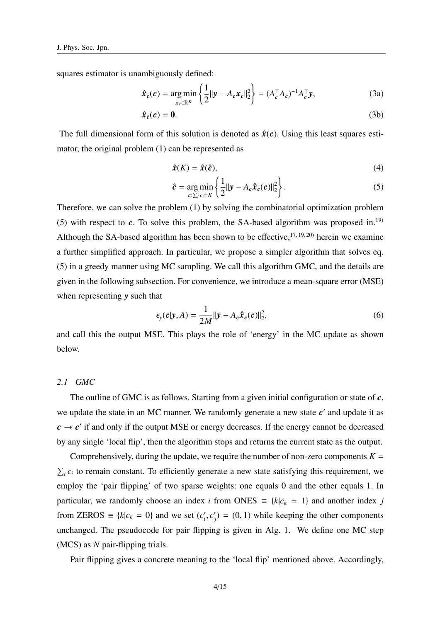squares estimator is unambiguously defined:

$$
\hat{\boldsymbol{x}}_c(\boldsymbol{c}) = \underset{\boldsymbol{x}_c \in \mathbb{R}^K}{\arg \min} \left\{ \frac{1}{2} ||\boldsymbol{y} - \boldsymbol{A}_c \boldsymbol{x}_c||_2^2 \right\} = (\boldsymbol{A}_c^\top \boldsymbol{A}_c)^{-1} \boldsymbol{A}_c^\top \boldsymbol{y},\tag{3a}
$$

$$
\hat{\mathbf{x}}_{\bar{c}}(c) = \mathbf{0}.\tag{3b}
$$

The full dimensional form of this solution is denoted as  $\hat{x}(c)$ . Using this least squares estimator, the original problem (1) can be represented as

$$
\hat{\mathbf{x}}(K) = \hat{\mathbf{x}}(\hat{\mathbf{c}}),\tag{4}
$$

$$
\hat{\mathbf{c}} = \underset{\mathbf{c} \colon \Sigma_i}{\arg \min} \left\{ \frac{1}{2} ||\mathbf{y} - A_c \hat{\mathbf{x}}_c(\mathbf{c})||_2^2 \right\}.
$$
 (5)

Therefore, we can solve the problem (1) by solving the combinatorial optimization problem (5) with respect to  $c$ . To solve this problem, the SA-based algorithm was proposed in.<sup>19)</sup> Although the SA-based algorithm has been shown to be effective,  $17, 19, 20$  herein we examine a further simplified approach. In particular, we propose a simpler algorithm that solves eq. (5) in a greedy manner using MC sampling. We call this algorithm GMC, and the details are given in the following subsection. For convenience, we introduce a mean-square error (MSE) when representing *y* such that

$$
\epsilon_{\mathbf{y}}(\mathbf{c}|\mathbf{y}, A) = \frac{1}{2M} ||\mathbf{y} - A_c \hat{\mathbf{x}}_c(\mathbf{c})||_2^2,
$$
\n(6)

and call this the output MSE. This plays the role of 'energy' in the MC update as shown below.

# *2.1 GMC*

The outline of GMC is as follows. Starting from a given initial configuration or state of *c*, we update the state in an MC manner. We randomly generate a new state  $c'$  and update it as  $c \rightarrow c'$  if and only if the output MSE or energy decreases. If the energy cannot be decreased by any single 'local flip', then the algorithm stops and returns the current state as the output.

Comprehensively, during the update, we require the number of non-zero components  $K =$  $\sum_i c_i$  to remain constant. To efficiently generate a new state satisfying this requirement, we employ the 'pair flipping' of two sparse weights: one equals 0 and the other equals 1. In particular, we randomly choose an index *i* from ONES  $\equiv \{k|c_k = 1\}$  and another index *j* from ZEROS  $\equiv \{k | c_k = 0 \}$  and we set  $(c_i)$  $i$ <sup>*, c'<sub>j</sub>*</sup>  $f_j$  = (0, 1) while keeping the other components unchanged. The pseudocode for pair flipping is given in Alg. 1. We define one MC step (MCS) as *N* pair-flipping trials.

Pair flipping gives a concrete meaning to the 'local flip' mentioned above. Accordingly,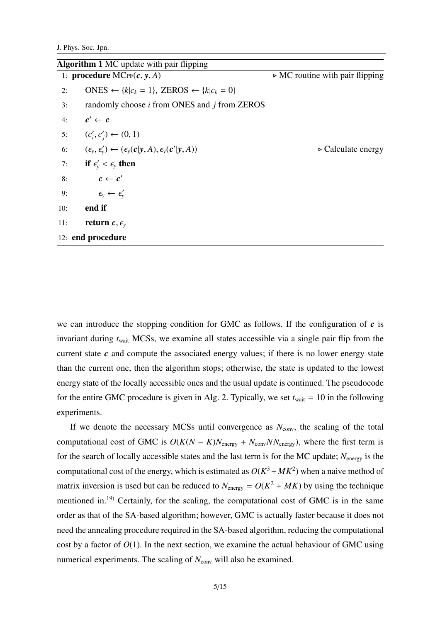J. Phys. Soc. Jpn.

|     | <b>Algorithm 1 MC</b> update with pair flipping                                          |                                                |
|-----|------------------------------------------------------------------------------------------|------------------------------------------------|
|     | 1: procedure $MCFF(c, y, A)$                                                             | $\triangleright$ MC routine with pair flipping |
| 2:  | ONES $\leftarrow \{k c_k = 1\}$ , ZEROS $\leftarrow \{k c_k = 0\}$                       |                                                |
| 3:  | randomly choose <i>i</i> from ONES and <i>j</i> from ZEROS                               |                                                |
| 4:  | $c' \leftarrow c$                                                                        |                                                |
|     | 5: $(c'_i, c'_j) \leftarrow (0, 1)$                                                      |                                                |
| 6:  | $(\epsilon_{y}, \epsilon_{y}') \leftarrow (\epsilon_{y}(c y, A), \epsilon_{y}(c' y, A))$ | $\triangleright$ Calculate energy              |
| 7:  | if $\epsilon'_{y} < \epsilon_{y}$ then                                                   |                                                |
| 8:  | $c \leftarrow c'$                                                                        |                                                |
| 9:  | $\epsilon_{y} \leftarrow \epsilon'_{y}$                                                  |                                                |
| 10: | end if                                                                                   |                                                |
| 11: | return $c, \epsilon$ <sub>v</sub>                                                        |                                                |
|     | 12: end procedure                                                                        |                                                |

we can introduce the stopping condition for GMC as follows. If the configuration of  $c$  is invariant during *t*wait MCSs, we examine all states accessible via a single pair flip from the current state *c* and compute the associated energy values; if there is no lower energy state than the current one, then the algorithm stops; otherwise, the state is updated to the lowest energy state of the locally accessible ones and the usual update is continued. The pseudocode for the entire GMC procedure is given in Alg. 2. Typically, we set  $t_{wait} = 10$  in the following experiments.

If we denote the necessary MCSs until convergence as  $N_{\text{conv}}$ , the scaling of the total computational cost of GMC is  $O(K(N - K)N_{\text{energy}} + N_{\text{conv}}NN_{\text{energy}})$ , where the first term is for the search of locally accessible states and the last term is for the MC update; *N*energy is the computational cost of the energy, which is estimated as  $O(K^3 + MK^2)$  when a naive method of matrix inversion is used but can be reduced to  $N_{\text{energy}} = O(K^2 + MK)$  by using the technique mentioned in.19) Certainly, for the scaling, the computational cost of GMC is in the same order as that of the SA-based algorithm; however, GMC is actually faster because it does not need the annealing procedure required in the SA-based algorithm, reducing the computational cost by a factor of  $O(1)$ . In the next section, we examine the actual behaviour of GMC using numerical experiments. The scaling of  $N_{\text{conv}}$  will also be examined.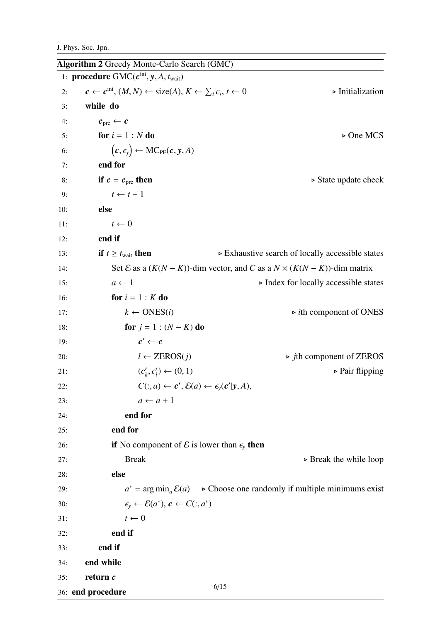|     | <b>Algorithm 2 Greedy Monte-Carlo Search (GMC)</b>                                                       |                                                                                                 |
|-----|----------------------------------------------------------------------------------------------------------|-------------------------------------------------------------------------------------------------|
|     | 1: procedure $GMC(c^{ini}, y, A, t_{wait})$                                                              |                                                                                                 |
| 2:  | $c \leftarrow c^{\text{ini}}, (M, N) \leftarrow \text{size}(A), K \leftarrow \sum_i c_i, t \leftarrow 0$ | $\triangleright$ Initialization                                                                 |
| 3:  | while do                                                                                                 |                                                                                                 |
| 4:  | $c_{\text{pre}} \leftarrow c$                                                                            |                                                                                                 |
| 5:  | for $i = 1 : N$ do                                                                                       | $\triangleright$ One MCS                                                                        |
| 6:  | $(c, \epsilon_{y}) \leftarrow \text{MC}_{\text{PF}}(c, y, A)$                                            |                                                                                                 |
| 7:  | end for                                                                                                  |                                                                                                 |
| 8:  | if $c = c_{pre}$ then                                                                                    | $\triangleright$ State update check                                                             |
| 9:  | $t \leftarrow t + 1$                                                                                     |                                                                                                 |
| 10: | else                                                                                                     |                                                                                                 |
| 11: | $t \leftarrow 0$                                                                                         |                                                                                                 |
| 12: | end if                                                                                                   |                                                                                                 |
| 13: | <b>if</b> $t \geq t_{\text{wait}}$ then                                                                  | ► Exhaustive search of locally accessible states                                                |
| 14: |                                                                                                          | Set $\mathcal E$ as a $(K(N - K))$ -dim vector, and C as a $N \times (K(N - K))$ -dim matrix    |
| 15: | $a \leftarrow 1$                                                                                         | $\triangleright$ Index for locally accessible states                                            |
| 16: | for $i = 1 : K$ do                                                                                       |                                                                                                 |
| 17: | $k \leftarrow$ ONES( <i>i</i> )                                                                          | $\triangleright$ <i>i</i> th component of ONES                                                  |
| 18: | <b>for</b> $j = 1$ : $(N - K)$ <b>do</b>                                                                 |                                                                                                 |
| 19: | $c' \leftarrow c$                                                                                        |                                                                                                 |
| 20: | $l \leftarrow$ ZEROS $(j)$                                                                               | $\triangleright$ <i>j</i> th component of ZEROS                                                 |
| 21: | $(c'_{k}, c'_{l}) \leftarrow (0, 1)$                                                                     | $\triangleright$ Pair flipping                                                                  |
| 22: | $C(:,a) \leftarrow c', \mathcal{E}(a) \leftarrow \epsilon_y(c' y,A),$                                    |                                                                                                 |
| 23: | $a \leftarrow a + 1$                                                                                     |                                                                                                 |
| 24: | end for                                                                                                  |                                                                                                 |
| 25: | end for                                                                                                  |                                                                                                 |
| 26: | if No component of $\mathcal E$ is lower than $\epsilon_y$ then                                          |                                                                                                 |
| 27: | <b>Break</b>                                                                                             | $\triangleright$ Break the while loop                                                           |
| 28: | else                                                                                                     |                                                                                                 |
| 29: |                                                                                                          | $a^* = \arg \min_a \mathcal{E}(a)$ $\rightarrow$ Choose one randomly if multiple minimums exist |
| 30: | $\epsilon_{y} \leftarrow \mathcal{E}(a^*), c \leftarrow C(:,a^*)$                                        |                                                                                                 |
| 31: | $t \leftarrow 0$                                                                                         |                                                                                                 |
| 32: | end if                                                                                                   |                                                                                                 |
| 33: | end if                                                                                                   |                                                                                                 |
| 34: | end while                                                                                                |                                                                                                 |
| 35: | return c                                                                                                 | 6/15                                                                                            |
|     |                                                                                                          |                                                                                                 |

36: end procedure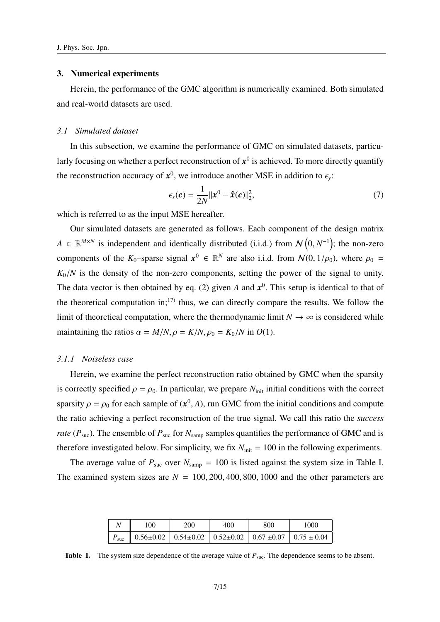#### 3. Numerical experiments

Herein, the performance of the GMC algorithm is numerically examined. Both simulated and real-world datasets are used.

#### *3.1 Simulated dataset*

In this subsection, we examine the performance of GMC on simulated datasets, particularly focusing on whether a perfect reconstruction of  $x^0$  is achieved. To more directly quantify the reconstruction accuracy of  $x^0$ , we introduce another MSE in addition to  $\epsilon_y$ :

$$
\epsilon_x(\boldsymbol{c}) = \frac{1}{2N} ||\boldsymbol{x}^0 - \boldsymbol{\hat{x}}(\boldsymbol{c})||_2^2, \tag{7}
$$

which is referred to as the input MSE hereafter.

Our simulated datasets are generated as follows. Each component of the design matrix  $A \in \mathbb{R}^{M \times N}$  is independent and identically distributed (i.i.d.) from  $\mathcal{N}(0, N^{-1})$ ; the non-zero components of the  $K_0$ -sparse signal  $x^0 \in \mathbb{R}^N$  are also i.i.d. from  $\mathcal{N}(0, 1/\rho_0)$ , where  $\rho_0 =$  $K_0/N$  is the density of the non-zero components, setting the power of the signal to unity. The data vector is then obtained by eq. (2) given  $A$  and  $x^0$ . This setup is identical to that of the theoretical computation in;<sup>17)</sup> thus, we can directly compare the results. We follow the limit of theoretical computation, where the thermodynamic limit  $N \to \infty$  is considered while maintaining the ratios  $\alpha = M/N$ ,  $\rho = K/N$ ,  $\rho_0 = K_0/N$  in  $O(1)$ .

## *3.1.1 Noiseless case*

Herein, we examine the perfect reconstruction ratio obtained by GMC when the sparsity is correctly specified  $\rho = \rho_0$ . In particular, we prepare  $N_{init}$  initial conditions with the correct sparsity  $\rho = \rho_0$  for each sample of  $(x^0, A)$ , run GMC from the initial conditions and compute the ratio achieving a perfect reconstruction of the true signal. We call this ratio the *success rate* ( $P_{\text{suc}}$ ). The ensemble of  $P_{\text{suc}}$  for  $N_{\text{samp}}$  samples quantifies the performance of GMC and is therefore investigated below. For simplicity, we fix  $N_{init} = 100$  in the following experiments.

The average value of  $P_{\text{sur}}$  over  $N_{\text{sampling}} = 100$  is listed against the system size in Table I. The examined system sizes are  $N = 100, 200, 400, 800, 1000$  and the other parameters are

|                                                                                   |  |  | 200 |  |  |  |  |  |  | 400 |  |  |  |  | 800 |  |  |  | 1000 |  |  |
|-----------------------------------------------------------------------------------|--|--|-----|--|--|--|--|--|--|-----|--|--|--|--|-----|--|--|--|------|--|--|
| $P_{\text{succ}}$    0.56±0.02   0.54±0.02   0.52±0.02   0.67 ±0.07   0.75 ± 0.04 |  |  |     |  |  |  |  |  |  |     |  |  |  |  |     |  |  |  |      |  |  |

Table I. The system size dependence of the average value of  $P_{\text{succ}}$ . The dependence seems to be absent.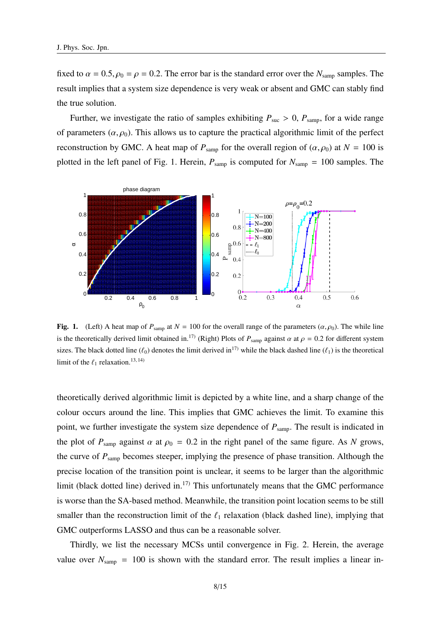fixed to  $\alpha = 0.5$ ,  $\rho_0 = \rho = 0.2$ . The error bar is the standard error over the  $N_{\text{samp}}$  samples. The result implies that a system size dependence is very weak or absent and GMC can stably find the true solution.

Further, we investigate the ratio of samples exhibiting  $P_{\text{succ}} > 0$ ,  $P_{\text{sampling}}$ , for a wide range of parameters  $(\alpha, \rho_0)$ . This allows us to capture the practical algorithmic limit of the perfect reconstruction by GMC. A heat map of  $P_{\text{samp}}$  for the overall region of  $(\alpha, \rho_0)$  at  $N = 100$  is plotted in the left panel of Fig. 1. Herein,  $P_{\text{samp}}$  is computed for  $N_{\text{samp}} = 100$  samples. The



Fig. 1. (Left) A heat map of  $P_{\text{ samp}}$  at  $N = 100$  for the overall range of the parameters  $(\alpha, \rho_0)$ . The while line is the theoretically derived limit obtained in.<sup>17)</sup> (Right) Plots of  $P_{\text{samp}}$  against  $\alpha$  at  $\rho = 0.2$  for different system sizes. The black dotted line ( $\ell_0$ ) denotes the limit derived in<sup>17)</sup> while the black dashed line ( $\ell_1$ ) is the theoretical limit of the  $\ell_1$  relaxation.<sup>13, 14)</sup>

theoretically derived algorithmic limit is depicted by a white line, and a sharp change of the colour occurs around the line. This implies that GMC achieves the limit. To examine this point, we further investigate the system size dependence of  $P_{\text{samp}}$ . The result is indicated in the plot of  $P_{\text{ samp}}$  against  $\alpha$  at  $\rho_0 = 0.2$  in the right panel of the same figure. As *N* grows, the curve of *P*samp becomes steeper, implying the presence of phase transition. Although the precise location of the transition point is unclear, it seems to be larger than the algorithmic limit (black dotted line) derived in.<sup>17)</sup> This unfortunately means that the GMC performance is worse than the SA-based method. Meanwhile, the transition point location seems to be still smaller than the reconstruction limit of the  $\ell_1$  relaxation (black dashed line), implying that GMC outperforms LASSO and thus can be a reasonable solver.

Thirdly, we list the necessary MCSs until convergence in Fig. 2. Herein, the average value over  $N_{\text{samp}} = 100$  is shown with the standard error. The result implies a linear in-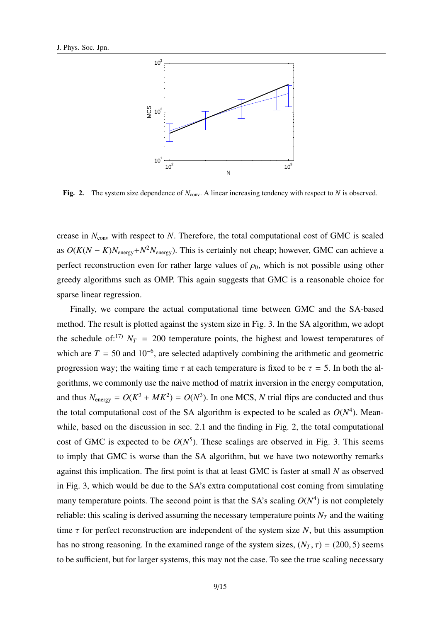

Fig. 2. The system size dependence of  $N_{\text{conv}}$ . A linear increasing tendency with respect to *N* is observed.

crease in  $N_{\text{conv}}$  with respect to *N*. Therefore, the total computational cost of GMC is scaled as  $O(K(N - K)N_{\text{energy}} + N^2 N_{\text{energy}})$ . This is certainly not cheap; however, GMC can achieve a perfect reconstruction even for rather large values of  $\rho_0$ , which is not possible using other greedy algorithms such as OMP. This again suggests that GMC is a reasonable choice for sparse linear regression.

Finally, we compare the actual computational time between GMC and the SA-based method. The result is plotted against the system size in Fig. 3. In the SA algorithm, we adopt the schedule of:<sup>17)</sup>  $N_T$  = 200 temperature points, the highest and lowest temperatures of which are  $T = 50$  and  $10^{-6}$ , are selected adaptively combining the arithmetic and geometric progression way; the waiting time  $\tau$  at each temperature is fixed to be  $\tau = 5$ . In both the algorithms, we commonly use the naive method of matrix inversion in the energy computation, and thus  $N_{\text{energy}} = O(K^3 + MK^2) = O(N^3)$ . In one MCS, *N* trial flips are conducted and thus the total computational cost of the SA algorithm is expected to be scaled as  $O(N<sup>4</sup>)$ . Meanwhile, based on the discussion in sec. 2.1 and the finding in Fig. 2, the total computational cost of GMC is expected to be  $O(N^5)$ . These scalings are observed in Fig. 3. This seems to imply that GMC is worse than the SA algorithm, but we have two noteworthy remarks against this implication. The first point is that at least GMC is faster at small *N* as observed in Fig. 3, which would be due to the SA's extra computational cost coming from simulating many temperature points. The second point is that the SA's scaling  $O(N<sup>4</sup>)$  is not completely reliable: this scaling is derived assuming the necessary temperature points  $N<sub>T</sub>$  and the waiting time  $\tau$  for perfect reconstruction are independent of the system size *N*, but this assumption has no strong reasoning. In the examined range of the system sizes,  $(N_T, \tau) = (200, 5)$  seems to be sufficient, but for larger systems, this may not the case. To see the true scaling necessary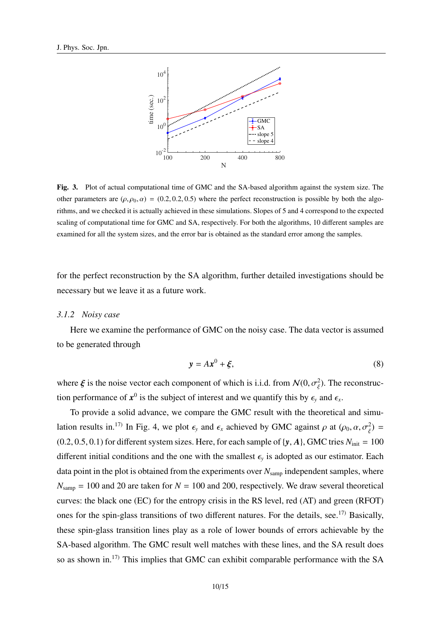

Fig. 3. Plot of actual computational time of GMC and the SA-based algorithm against the system size. The other parameters are  $(\rho, \rho_0, \alpha) = (0.2, 0.2, 0.5)$  where the perfect reconstruction is possible by both the algorithms, and we checked it is actually achieved in these simulations. Slopes of 5 and 4 correspond to the expected scaling of computational time for GMC and SA, respectively. For both the algorithms, 10 different samples are examined for all the system sizes, and the error bar is obtained as the standard error among the samples.

for the perfect reconstruction by the SA algorithm, further detailed investigations should be necessary but we leave it as a future work.

#### *3.1.2 Noisy case*

Here we examine the performance of GMC on the noisy case. The data vector is assumed to be generated through

$$
y = Ax^0 + \xi,\tag{8}
$$

where  $\xi$  is the noise vector each component of which is i.i.d. from  $\mathcal{N}(0, \sigma_{\xi}^2)$ . The reconstruction performance of  $x^0$  is the subject of interest and we quantify this by  $\epsilon_y$  and  $\epsilon_x$ .

To provide a solid advance, we compare the GMC result with the theoretical and simulation results in.<sup>17)</sup> In Fig. 4, we plot  $\epsilon_y$  and  $\epsilon_x$  achieved by GMC against  $\rho$  at  $(\rho_0, \alpha, \sigma_{\xi}^2)$  $) =$  $(0.2, 0.5, 0.1)$  for different system sizes. Here, for each sample of  $\{y, A\}$ , GMC tries  $N_{init} = 100$ different initial conditions and the one with the smallest  $\epsilon_y$  is adopted as our estimator. Each data point in the plot is obtained from the experiments over  $N_{\text{samp}}$  independent samples, where  $N_{\text{samp}} = 100$  and 20 are taken for  $N = 100$  and 200, respectively. We draw several theoretical curves: the black one (EC) for the entropy crisis in the RS level, red (AT) and green (RFOT) ones for the spin-glass transitions of two different natures. For the details, see.<sup>17)</sup> Basically, these spin-glass transition lines play as a role of lower bounds of errors achievable by the SA-based algorithm. The GMC result well matches with these lines, and the SA result does so as shown in.<sup>17)</sup> This implies that GMC can exhibit comparable performance with the SA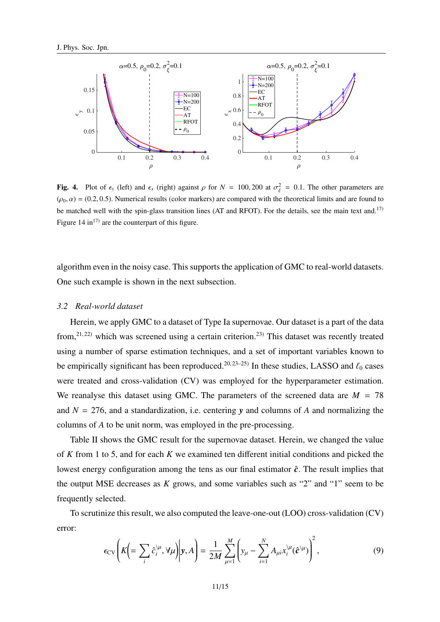

Fig. 4. Plot of  $\epsilon_y$  (left) and  $\epsilon_x$  (right) against  $\rho$  for  $N = 100, 200$  at  $\sigma_{\xi}^2 = 0.1$ . The other parameters are  $(\rho_0, \alpha) = (0.2, 0.5)$ . Numerical results (color markers) are compared with the theoretical limits and are found to be matched well with the spin-glass transition lines (AT and RFOT). For the details, see the main text and.<sup>17)</sup> Figure 14 in<sup>17)</sup> are the counterpart of this figure.

algorithm even in the noisy case. This supports the application of GMC to real-world datasets. One such example is shown in the next subsection.

## *3.2 Real-world dataset*

Herein, we apply GMC to a dataset of Type Ia supernovae. Our dataset is a part of the data from,<sup>21, 22)</sup> which was screened using a certain criterion.<sup>23)</sup> This dataset was recently treated using a number of sparse estimation techniques, and a set of important variables known to be empirically significant has been reproduced.<sup>20, 23–25)</sup> In these studies, LASSO and  $\ell_0$  cases were treated and cross-validation (CV) was employed for the hyperparameter estimation. We reanalyse this dataset using GMC. The parameters of the screened data are  $M = 78$ and  $N = 276$ , and a standardization, i.e. centering  $\bf{v}$  and columns of *A* and normalizing the columns of *A* to be unit norm, was employed in the pre-processing.

Table II shows the GMC result for the supernovae dataset. Herein, we changed the value of *K* from 1 to 5, and for each *K* we examined ten different initial conditions and picked the lowest energy configuration among the tens as our final estimator  $\hat{c}$ . The result implies that the output MSE decreases as *K* grows, and some variables such as "2" and "1" seem to be frequently selected.

To scrutinize this result, we also computed the leave-one-out (LOO) cross-validation (CV) error:

$$
\epsilon_{CV}\left(K\left(=\sum_{i}\hat{c}_{i}^{\setminus\mu},\forall\mu\right)\middle|\mathbf{y},A\right)=\frac{1}{2M}\sum_{\mu=1}^{M}\left(y_{\mu}-\sum_{i=1}^{N}A_{\mu i}x_{i}^{\setminus\mu}(\hat{\mathbf{c}}^{\setminus\mu})\right)^{2},\tag{9}
$$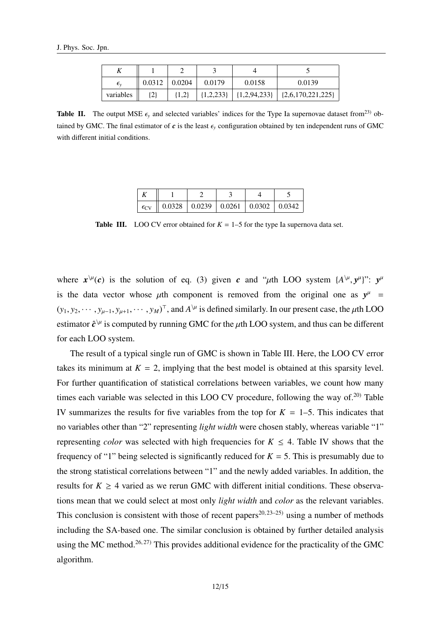| $\epsilon_v$ | 0.0312 | 0.0204    | 0.0179        | 0.0158         | 0.0139                |
|--------------|--------|-----------|---------------|----------------|-----------------------|
| variables    |        | $\{1,2\}$ | $\{1,2,233\}$ | ${1,2,94,233}$ | $\{2,6,170,221,225\}$ |

**Table II.** The output MSE  $\epsilon$ <sub>y</sub> and selected variables' indices for the Type Ia supernovae dataset from<sup>23)</sup> obtained by GMC. The final estimator of  $c$  is the least  $\epsilon_{y}$  configuration obtained by ten independent runs of GMC with different initial conditions.

| $\epsilon_{\rm CV}$ |  | $0.0328$   $0.0239$   $0.0261$   $0.0302$   $0.0342$ |  |
|---------------------|--|------------------------------------------------------|--|

**Table III.** LOO CV error obtained for  $K = 1-5$  for the type Ia supernova data set.

where  $x^{\mu}(c)$  is the solution of eq. (3) given *c* and " $\mu$ th LOO system { $A^{\mu}, y^{\mu}$ ":  $y^{\mu}$ is the data vector whose  $\mu$ th component is removed from the original one as  $y^{\mu}$  =  $(y_1, y_2, \dots, y_{\mu-1}, y_{\mu+1}, \dots, y_M)^\top$ , and  $A^{\setminus \mu}$  is defined similarly. In our present case, the  $\mu$ th LOO estimator  $\hat{c}^{\setminus\mu}$  is computed by running GMC for the  $\mu$ th LOO system, and thus can be different for each LOO system.

The result of a typical single run of GMC is shown in Table III. Here, the LOO CV error takes its minimum at  $K = 2$ , implying that the best model is obtained at this sparsity level. For further quantification of statistical correlations between variables, we count how many times each variable was selected in this LOO CV procedure, following the way of.<sup>20)</sup> Table IV summarizes the results for five variables from the top for  $K = 1-5$ . This indicates that no variables other than "2" representing *light width* were chosen stably, whereas variable "1" representing *color* was selected with high frequencies for  $K \leq 4$ . Table IV shows that the frequency of "1" being selected is significantly reduced for  $K = 5$ . This is presumably due to the strong statistical correlations between "1" and the newly added variables. In addition, the results for  $K \geq 4$  varied as we rerun GMC with different initial conditions. These observations mean that we could select at most only *light width* and *color* as the relevant variables. This conclusion is consistent with those of recent papers<sup>20, 23–25)</sup> using a number of methods including the SA-based one. The similar conclusion is obtained by further detailed analysis using the MC method.<sup>26, 27)</sup> This provides additional evidence for the practicality of the GMC algorithm.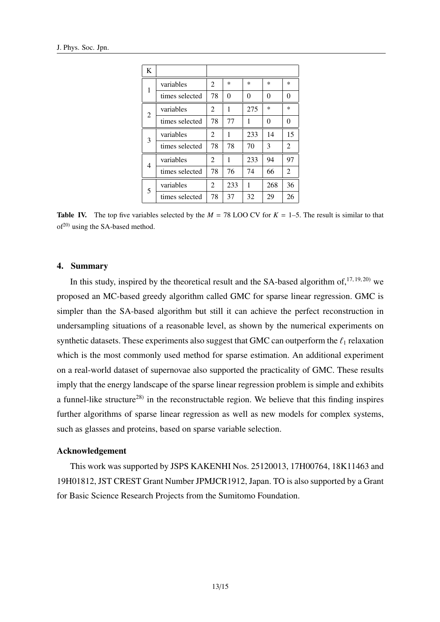| K |                |                |          |        |        |                |
|---|----------------|----------------|----------|--------|--------|----------------|
| 1 | variables      | $\overline{2}$ | $\ast$   | $\ast$ | $\ast$ | $\ast$         |
|   | times selected | 78             | $\theta$ | 0      | 0      | $\theta$       |
| 2 | variables      | 2              | 1        | 275    | $\ast$ | $\ast$         |
|   | times selected | 78             | 77       | 1      | 0      | $\overline{0}$ |
| 3 | variables      | 2              | 1        | 233    | 14     | 15             |
|   | times selected | 78             | 78       | 70     | 3      | $\overline{2}$ |
| 4 | variables      | $\overline{2}$ | 1        | 233    | 94     | 97             |
|   | times selected | 78             | 76       | 74     | 66     | $\overline{2}$ |
| 5 | variables      | 2              | 233      | 1      | 268    | 36             |
|   | times selected | 78             | 37       | 32     | 29     | 26             |

**Table IV.** The top five variables selected by the  $M = 78$  LOO CV for  $K = 1-5$ . The result is similar to that  $of<sup>20</sup>$  using the SA-based method.

# 4. Summary

In this study, inspired by the theoretical result and the SA-based algorithm of, $17, 19, 20$ ) we proposed an MC-based greedy algorithm called GMC for sparse linear regression. GMC is simpler than the SA-based algorithm but still it can achieve the perfect reconstruction in undersampling situations of a reasonable level, as shown by the numerical experiments on synthetic datasets. These experiments also suggest that GMC can outperform the  $\ell_1$  relaxation which is the most commonly used method for sparse estimation. An additional experiment on a real-world dataset of supernovae also supported the practicality of GMC. These results imply that the energy landscape of the sparse linear regression problem is simple and exhibits a funnel-like structure<sup>28)</sup> in the reconstructable region. We believe that this finding inspires further algorithms of sparse linear regression as well as new models for complex systems, such as glasses and proteins, based on sparse variable selection.

# Acknowledgement

This work was supported by JSPS KAKENHI Nos. 25120013, 17H00764, 18K11463 and 19H01812, JST CREST Grant Number JPMJCR1912, Japan. TO is also supported by a Grant for Basic Science Research Projects from the Sumitomo Foundation.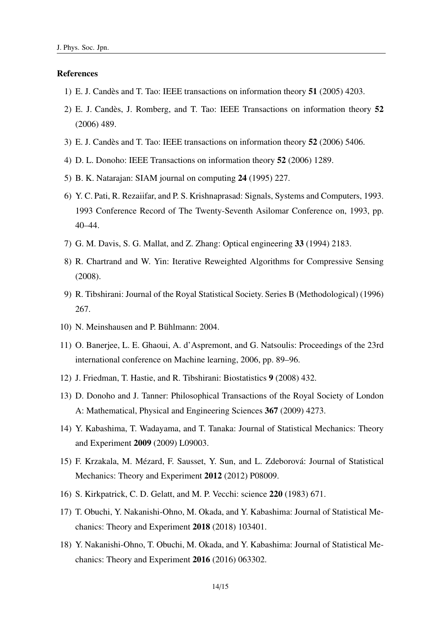#### References

- 1) E. J. Candès and T. Tao: IEEE transactions on information theory 51 (2005) 4203.
- 2) E. J. Candes, J. Romberg, and T. Tao: IEEE Transactions on information theory ` 52 (2006) 489.
- 3) E. J. Candès and T. Tao: IEEE transactions on information theory 52 (2006) 5406.
- 4) D. L. Donoho: IEEE Transactions on information theory 52 (2006) 1289.
- 5) B. K. Natarajan: SIAM journal on computing 24 (1995) 227.
- 6) Y. C. Pati, R. Rezaiifar, and P. S. Krishnaprasad: Signals, Systems and Computers, 1993. 1993 Conference Record of The Twenty-Seventh Asilomar Conference on, 1993, pp. 40–44.
- 7) G. M. Davis, S. G. Mallat, and Z. Zhang: Optical engineering 33 (1994) 2183.
- 8) R. Chartrand and W. Yin: Iterative Reweighted Algorithms for Compressive Sensing (2008).
- 9) R. Tibshirani: Journal of the Royal Statistical Society. Series B (Methodological) (1996) 267.
- 10) N. Meinshausen and P. Bühlmann: 2004.
- 11) O. Banerjee, L. E. Ghaoui, A. d'Aspremont, and G. Natsoulis: Proceedings of the 23rd international conference on Machine learning, 2006, pp. 89–96.
- 12) J. Friedman, T. Hastie, and R. Tibshirani: Biostatistics 9 (2008) 432.
- 13) D. Donoho and J. Tanner: Philosophical Transactions of the Royal Society of London A: Mathematical, Physical and Engineering Sciences 367 (2009) 4273.
- 14) Y. Kabashima, T. Wadayama, and T. Tanaka: Journal of Statistical Mechanics: Theory and Experiment 2009 (2009) L09003.
- 15) F. Krzakala, M. Mézard, F. Sausset, Y. Sun, and L. Zdeborová: Journal of Statistical Mechanics: Theory and Experiment 2012 (2012) P08009.
- 16) S. Kirkpatrick, C. D. Gelatt, and M. P. Vecchi: science 220 (1983) 671.
- 17) T. Obuchi, Y. Nakanishi-Ohno, M. Okada, and Y. Kabashima: Journal of Statistical Mechanics: Theory and Experiment 2018 (2018) 103401.
- 18) Y. Nakanishi-Ohno, T. Obuchi, M. Okada, and Y. Kabashima: Journal of Statistical Mechanics: Theory and Experiment 2016 (2016) 063302.